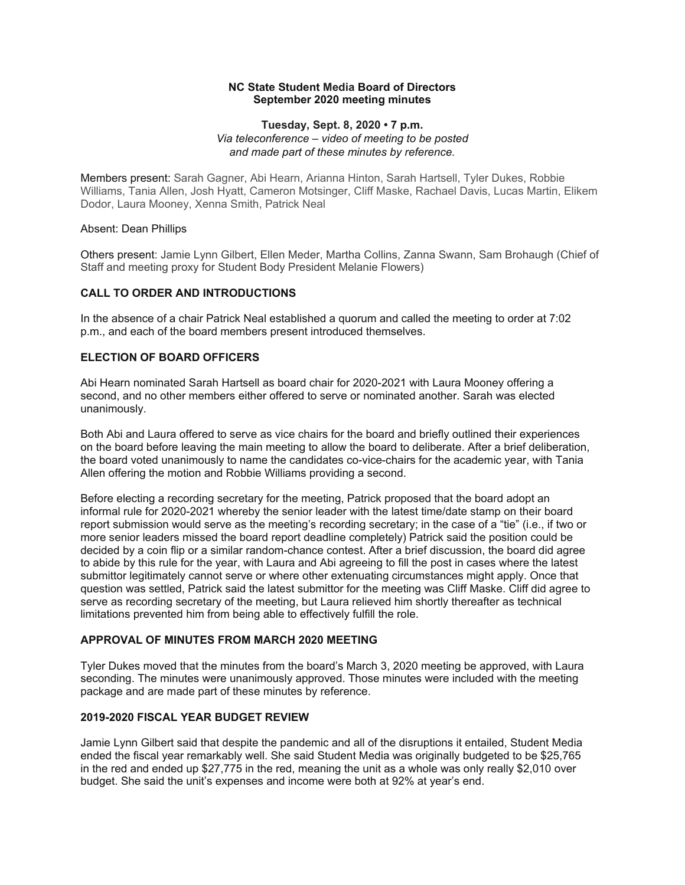#### **September 2020 meeting minutes NC State Student Media Board of Directors**

#### *and made part of these minutes by reference.*  **Tuesday, Sept. 8, 2020 • 7 p.m.**  *Via teleconference – video of meeting to be posted*

 Members present: Sarah Gagner, Abi Hearn, Arianna Hinton, Sarah Hartsell, Tyler Dukes, Robbie Williams, Tania Allen, Josh Hyatt, Cameron Motsinger, Cliff Maske, Rachael Davis, Lucas Martin, Elikem Dodor, Laura Mooney, Xenna Smith, Patrick Neal

#### Absent: Dean Phillips

 Others present: Jamie Lynn Gilbert, Ellen Meder, Martha Collins, Zanna Swann, Sam Brohaugh (Chief of Staff and meeting proxy for Student Body President Melanie Flowers)

# **CALL TO ORDER AND INTRODUCTIONS**

 In the absence of a chair Patrick Neal established a quorum and called the meeting to order at 7:02 p.m., and each of the board members present introduced themselves.

#### **ELECTION OF BOARD OFFICERS**

 Abi Hearn nominated Sarah Hartsell as board chair for 2020-2021 with Laura Mooney offering a second, and no other members either offered to serve or nominated another. Sarah was elected unanimously.

 Both Abi and Laura offered to serve as vice chairs for the board and briefly outlined their experiences on the board before leaving the main meeting to allow the board to deliberate. After a brief deliberation, the board voted unanimously to name the candidates co-vice-chairs for the academic year, with Tania Allen offering the motion and Robbie Williams providing a second.

 Before electing a recording secretary for the meeting, Patrick proposed that the board adopt an informal rule for 2020-2021 whereby the senior leader with the latest time/date stamp on their board report submission would serve as the meeting's recording secretary; in the case of a "tie" (i.e., if two or more senior leaders missed the board report deadline completely) Patrick said the position could be decided by a coin flip or a similar random-chance contest. After a brief discussion, the board did agree to abide by this rule for the year, with Laura and Abi agreeing to fill the post in cases where the latest submittor legitimately cannot serve or where other extenuating circumstances might apply. Once that question was settled, Patrick said the latest submittor for the meeting was Cliff Maske. Cliff did agree to serve as recording secretary of the meeting, but Laura relieved him shortly thereafter as technical limitations prevented him from being able to effectively fulfill the role.

# **APPROVAL OF MINUTES FROM MARCH 2020 MEETING**

 Tyler Dukes moved that the minutes from the board's March 3, 2020 meeting be approved, with Laura package and are made part of these minutes by reference. seconding. The minutes were unanimously approved. Those minutes were included with the meeting

## **2019-2020 FISCAL YEAR BUDGET REVIEW**

 Jamie Lynn Gilbert said that despite the pandemic and all of the disruptions it entailed, Student Media ended the fiscal year remarkably well. She said Student Media was originally budgeted to be \$25,765 in the red and ended up \$27,775 in the red, meaning the unit as a whole was only really \$2,010 over budget. She said the unit's expenses and income were both at 92% at year's end.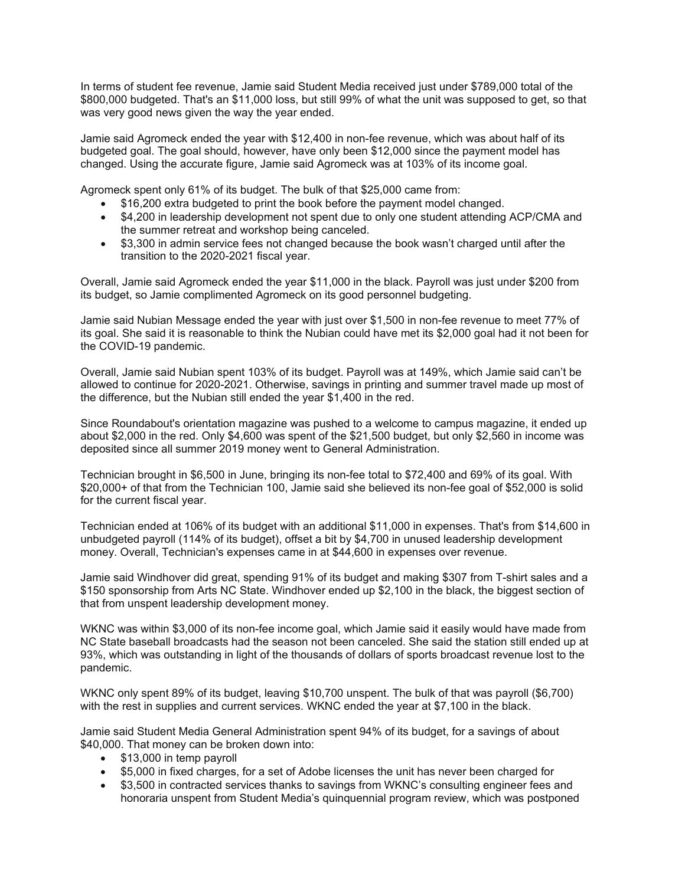In terms of student fee revenue, Jamie said Student Media received just under \$789,000 total of the \$800,000 budgeted. That's an \$11,000 loss, but still 99% of what the unit was supposed to get, so that was very good news given the way the year ended.

 Jamie said Agromeck ended the year with \$12,400 in non-fee revenue, which was about half of its budgeted goal. The goal should, however, have only been \$12,000 since the payment model has changed. Using the accurate figure, Jamie said Agromeck was at 103% of its income goal.

Agromeck spent only 61% of its budget. The bulk of that \$25,000 came from:

- \$16,200 extra budgeted to print the book before the payment model changed.
- • \$4,200 in leadership development not spent due to only one student attending ACP/CMA and the summer retreat and workshop being canceled.
- • \$3,300 in admin service fees not changed because the book wasn't charged until after the transition to the 2020-2021 fiscal year.

 Overall, Jamie said Agromeck ended the year \$11,000 in the black. Payroll was just under \$200 from its budget, so Jamie complimented Agromeck on its good personnel budgeting.

 Jamie said Nubian Message ended the year with just over \$1,500 in non-fee revenue to meet 77% of its goal. She said it is reasonable to think the Nubian could have met its \$2,000 goal had it not been for the COVID-19 pandemic.

 Overall, Jamie said Nubian spent 103% of its budget. Payroll was at 149%, which Jamie said can't be allowed to continue for 2020-2021. Otherwise, savings in printing and summer travel made up most of the difference, but the Nubian still ended the year \$1,400 in the red.

 Since Roundabout's orientation magazine was pushed to a welcome to campus magazine, it ended up about \$2,000 in the red. Only \$4,600 was spent of the \$21,500 budget, but only \$2,560 in income was deposited since all summer 2019 money went to General Administration.

 Technician brought in \$6,500 in June, bringing its non-fee total to \$72,400 and 69% of its goal. With \$20,000+ of that from the Technician 100, Jamie said she believed its non-fee goal of \$52,000 is solid for the current fiscal year.

 Technician ended at 106% of its budget with an additional \$11,000 in expenses. That's from \$14,600 in unbudgeted payroll (114% of its budget), offset a bit by \$4,700 in unused leadership development money. Overall, Technician's expenses came in at \$44,600 in expenses over revenue.

 Jamie said Windhover did great, spending 91% of its budget and making \$307 from T-shirt sales and a \$150 sponsorship from Arts NC State. Windhover ended up \$2,100 in the black, the biggest section of that from unspent leadership development money.

 WKNC was within \$3,000 of its non-fee income goal, which Jamie said it easily would have made from NC State baseball broadcasts had the season not been canceled. She said the station still ended up at 93%, which was outstanding in light of the thousands of dollars of sports broadcast revenue lost to the pandemic.

 WKNC only spent 89% of its budget, leaving \$10,700 unspent. The bulk of that was payroll (\$6,700) with the rest in supplies and current services. WKNC ended the year at \$7,100 in the black.

 Jamie said Student Media General Administration spent 94% of its budget, for a savings of about \$40,000. That money can be broken down into:

- \$13,000 in temp payroll
- \$5,000 in fixed charges, for a set of Adobe licenses the unit has never been charged for
- • \$3,500 in contracted services thanks to savings from WKNC's consulting engineer fees and honoraria unspent from Student Media's quinquennial program review, which was postponed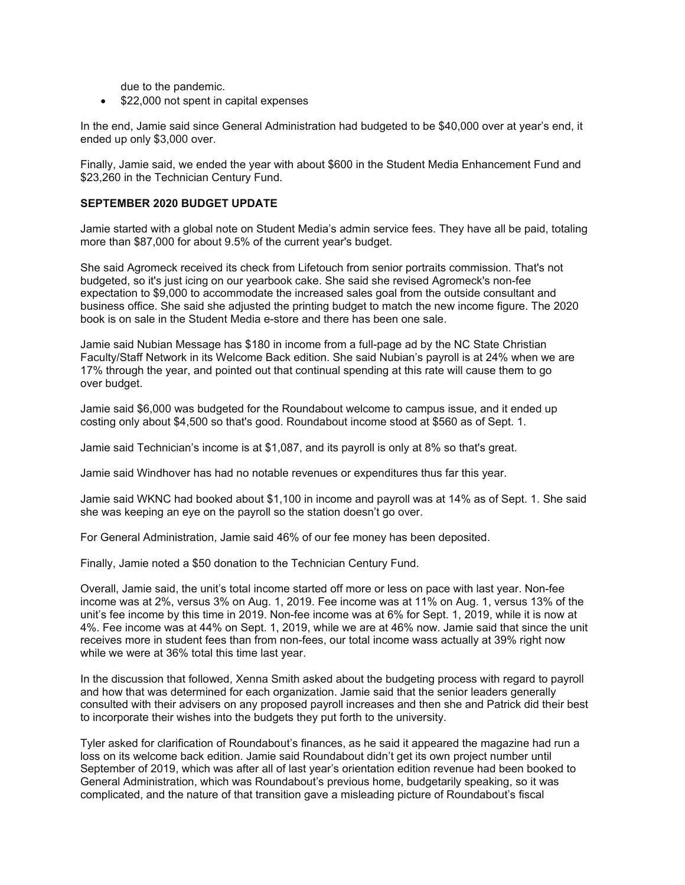due to the pandemic.

• \$22,000 not spent in capital expenses

 In the end, Jamie said since General Administration had budgeted to be \$40,000 over at year's end, it ended up only \$3,000 over.

 Finally, Jamie said, we ended the year with about \$600 in the Student Media Enhancement Fund and \$23,260 in the Technician Century Fund.

### **SEPTEMBER 2020 BUDGET UPDATE**

 Jamie started with a global note on Student Media's admin service fees. They have all be paid, totaling more than \$87,000 for about 9.5% of the current year's budget.

 She said Agromeck received its check from Lifetouch from senior portraits commission. That's not budgeted, so it's just icing on our yearbook cake. She said she revised Agromeck's non-fee expectation to \$9,000 to accommodate the increased sales goal from the outside consultant and business office. She said she adjusted the printing budget to match the new income figure. The 2020 book is on sale in the Student Media e-store and there has been one sale.

 Jamie said Nubian Message has \$180 in income from a full-page ad by the NC State Christian Faculty/Staff Network in its Welcome Back edition. She said Nubian's payroll is at 24% when we are 17% through the year, and pointed out that continual spending at this rate will cause them to go over budget.

 Jamie said \$6,000 was budgeted for the Roundabout welcome to campus issue, and it ended up costing only about \$4,500 so that's good. Roundabout income stood at \$560 as of Sept. 1.

Jamie said Technician's income is at \$1,087, and its payroll is only at 8% so that's great.

Jamie said Windhover has had no notable revenues or expenditures thus far this year.

 Jamie said WKNC had booked about \$1,100 in income and payroll was at 14% as of Sept. 1. She said she was keeping an eye on the payroll so the station doesn't go over.

For General Administration, Jamie said 46% of our fee money has been deposited.

Finally, Jamie noted a \$50 donation to the Technician Century Fund.

 Overall, Jamie said, the unit's total income started off more or less on pace with last year. Non-fee income was at 2%, versus 3% on Aug. 1, 2019. Fee income was at 11% on Aug. 1, versus 13% of the unit's fee income by this time in 2019. Non-fee income was at 6% for Sept. 1, 2019, while it is now at 4%. Fee income was at 44% on Sept. 1, 2019, while we are at 46% now. Jamie said that since the unit receives more in student fees than from non-fees, our total income wass actually at 39% right now while we were at 36% total this time last year.

 In the discussion that followed, Xenna Smith asked about the budgeting process with regard to payroll and how that was determined for each organization. Jamie said that the senior leaders generally consulted with their advisers on any proposed payroll increases and then she and Patrick did their best to incorporate their wishes into the budgets they put forth to the university.

 Tyler asked for clarification of Roundabout's finances, as he said it appeared the magazine had run a loss on its welcome back edition. Jamie said Roundabout didn't get its own project number until September of 2019, which was after all of last year's orientation edition revenue had been booked to General Administration, which was Roundabout's previous home, budgetarily speaking, so it was complicated, and the nature of that transition gave a misleading picture of Roundabout's fiscal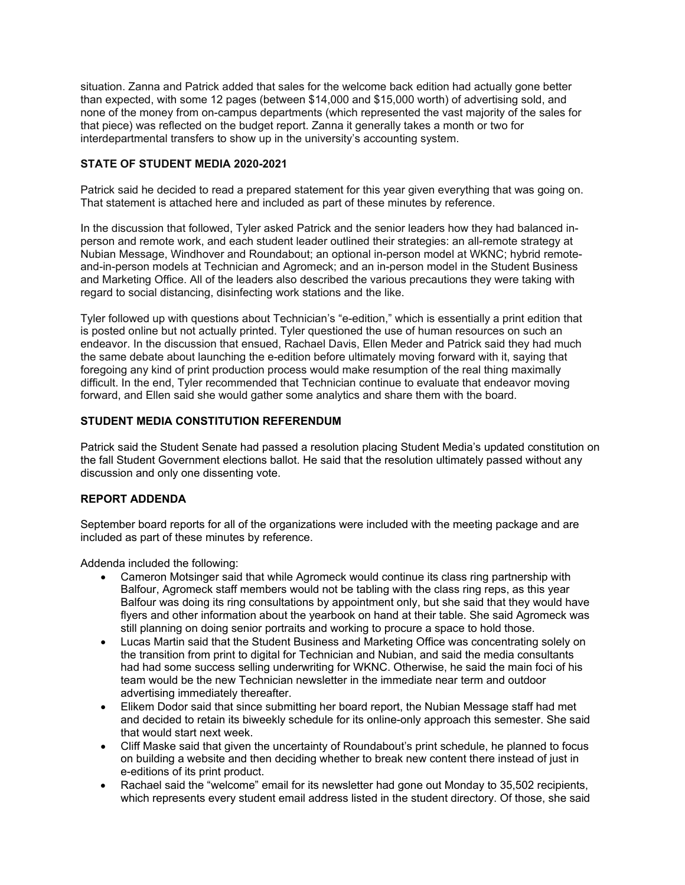situation. Zanna and Patrick added that sales for the welcome back edition had actually gone better none of the money from on-campus departments (which represented the vast majority of the sales for that piece) was reflected on the budget report. Zanna it generally takes a month or two for interdepartmental transfers to show up in the university's accounting system. than expected, with some 12 pages (between \$14,000 and \$15,000 worth) of advertising sold, and

## **STATE OF STUDENT MEDIA 2020-2021**

 Patrick said he decided to read a prepared statement for this year given everything that was going on. That statement is attached here and included as part of these minutes by reference.

 In the discussion that followed, Tyler asked Patrick and the senior leaders how they had balanced in- person and remote work, and each student leader outlined their strategies: an all-remote strategy at Nubian Message, Windhover and Roundabout; an optional in-person model at WKNC; hybrid remote- and-in-person models at Technician and Agromeck; and an in-person model in the Student Business and Marketing Office. All of the leaders also described the various precautions they were taking with regard to social distancing, disinfecting work stations and the like.

 Tyler followed up with questions about Technician's "e-edition," which is essentially a print edition that is posted online but not actually printed. Tyler questioned the use of human resources on such an endeavor. In the discussion that ensued, Rachael Davis, Ellen Meder and Patrick said they had much the same debate about launching the e-edition before ultimately moving forward with it, saying that foregoing any kind of print production process would make resumption of the real thing maximally difficult. In the end, Tyler recommended that Technician continue to evaluate that endeavor moving forward, and Ellen said she would gather some analytics and share them with the board.

# **STUDENT MEDIA CONSTITUTION REFERENDUM**

 Patrick said the Student Senate had passed a resolution placing Student Media's updated constitution on the fall Student Government elections ballot. He said that the resolution ultimately passed without any discussion and only one dissenting vote.

### **REPORT ADDENDA**

 September board reports for all of the organizations were included with the meeting package and are included as part of these minutes by reference.

Addenda included the following:

- • Cameron Motsinger said that while Agromeck would continue its class ring partnership with Balfour, Agromeck staff members would not be tabling with the class ring reps, as this year Balfour was doing its ring consultations by appointment only, but she said that they would have flyers and other information about the yearbook on hand at their table. She said Agromeck was still planning on doing senior portraits and working to procure a space to hold those.
- • Lucas Martin said that the Student Business and Marketing Office was concentrating solely on the transition from print to digital for Technician and Nubian, and said the media consultants had had some success selling underwriting for WKNC. Otherwise, he said the main foci of his team would be the new Technician newsletter in the immediate near term and outdoor advertising immediately thereafter.
- • Elikem Dodor said that since submitting her board report, the Nubian Message staff had met and decided to retain its biweekly schedule for its online-only approach this semester. She said that would start next week.
- • Cliff Maske said that given the uncertainty of Roundabout's print schedule, he planned to focus on building a website and then deciding whether to break new content there instead of just in e-editions of its print product.
- • Rachael said the "welcome" email for its newsletter had gone out Monday to 35,502 recipients, which represents every student email address listed in the student directory. Of those, she said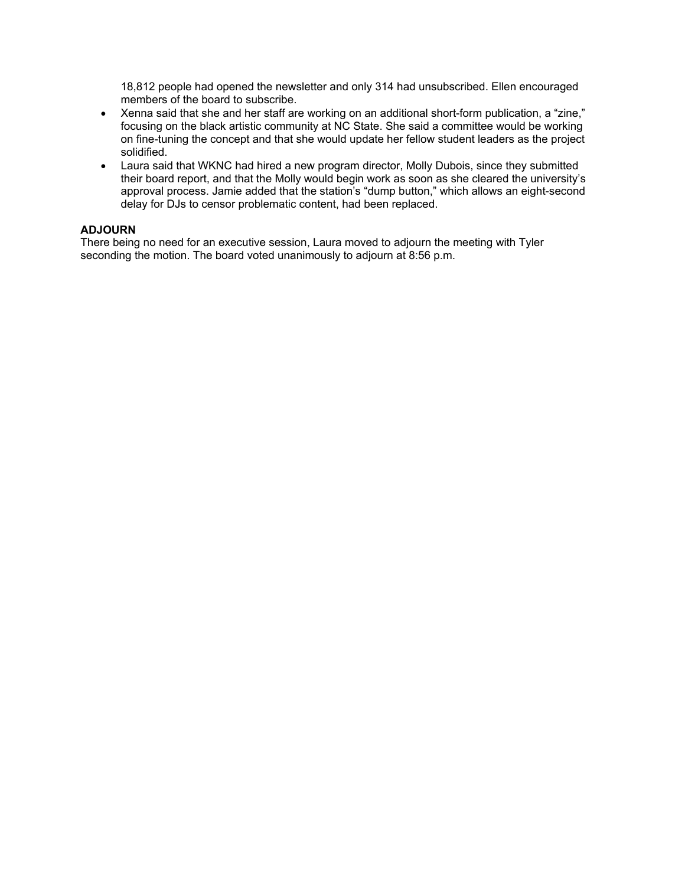18,812 people had opened the newsletter and only 314 had unsubscribed. Ellen encouraged members of the board to subscribe.

- $\bullet$  focusing on the black artistic community at NC State. She said a committee would be working on fine-tuning the concept and that she would update her fellow student leaders as the project • Xenna said that she and her staff are working on an additional short-form publication, a "zine," solidified.
- • Laura said that WKNC had hired a new program director, Molly Dubois, since they submitted their board report, and that the Molly would begin work as soon as she cleared the university's approval process. Jamie added that the station's "dump button," which allows an eight-second delay for DJs to censor problematic content, had been replaced.

### **ADJOURN**

 seconding the motion. The board voted unanimously to adjourn at 8:56 p.m. There being no need for an executive session, Laura moved to adjourn the meeting with Tyler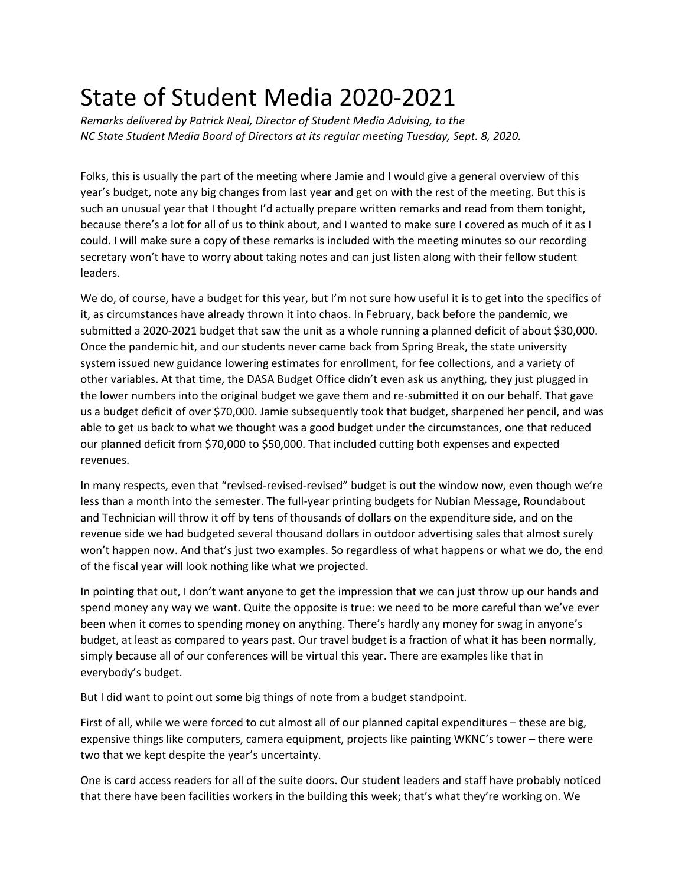# State of Student Media 2020-2021

*Remarks delivered by Patrick Neal, Director of Student Media Advising, to the NC State Student Media Board of Directors at its regular meeting Tuesday, Sept. 8, 2020.* 

 such an unusual year that I thought I'd actually prepare written remarks and read from them tonight, could. I will make sure a copy of these remarks is included with the meeting minutes so our recording Folks, this is usually the part of the meeting where Jamie and I would give a general overview of this year's budget, note any big changes from last year and get on with the rest of the meeting. But this is because there's a lot for all of us to think about, and I wanted to make sure I covered as much of it as I secretary won't have to worry about taking notes and can just listen along with their fellow student leaders.

 We do, of course, have a budget for this year, but I'm not sure how useful it is to get into the specifics of submitted a 2020-2021 budget that saw the unit as a whole running a planned deficit of about \$30,000. Once the pandemic hit, and our students never came back from Spring Break, the state university system issued new guidance lowering estimates for enrollment, for fee collections, and a variety of the lower numbers into the original budget we gave them and re-submitted it on our behalf. That gave able to get us back to what we thought was a good budget under the circumstances, one that reduced our planned deficit from \$70,000 to \$50,000. That included cutting both expenses and expected it, as circumstances have already thrown it into chaos. In February, back before the pandemic, we other variables. At that time, the DASA Budget Office didn't even ask us anything, they just plugged in us a budget deficit of over \$70,000. Jamie subsequently took that budget, sharpened her pencil, and was revenues.

 In many respects, even that "revised-revised-revised" budget is out the window now, even though we're and Technician will throw it off by tens of thousands of dollars on the expenditure side, and on the of the fiscal year will look nothing like what we projected. less than a month into the semester. The full-year printing budgets for Nubian Message, Roundabout revenue side we had budgeted several thousand dollars in outdoor advertising sales that almost surely won't happen now. And that's just two examples. So regardless of what happens or what we do, the end

 In pointing that out, I don't want anyone to get the impression that we can just throw up our hands and budget, at least as compared to years past. Our travel budget is a fraction of what it has been normally, simply because all of our conferences will be virtual this year. There are examples like that in spend money any way we want. Quite the opposite is true: we need to be more careful than we've ever been when it comes to spending money on anything. There's hardly any money for swag in anyone's everybody's budget.

But I did want to point out some big things of note from a budget standpoint.

 First of all, while we were forced to cut almost all of our planned capital expenditures – these are big, expensive things like computers, camera equipment, projects like painting WKNC's tower – there were two that we kept despite the year's uncertainty.

 One is card access readers for all of the suite doors. Our student leaders and staff have probably noticed that there have been facilities workers in the building this week; that's what they're working on. We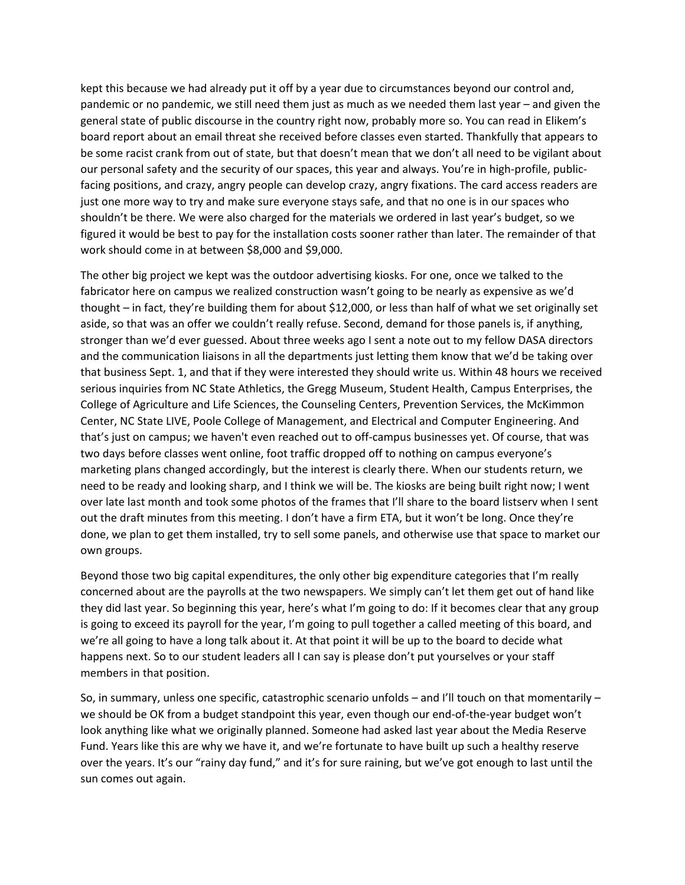pandemic or no pandemic, we still need them just as much as we needed them last year – and given the general state of public discourse in the country right now, probably more so. You can read in Elikem's board report about an email threat she received before classes even started. Thankfully that appears to be some racist crank from out of state, but that doesn't mean that we don't all need to be vigilant about facing positions, and crazy, angry people can develop crazy, angry fixations. The card access readers are just one more way to try and make sure everyone stays safe, and that no one is in our spaces who figured it would be best to pay for the installation costs sooner rather than later. The remainder of that kept this because we had already put it off by a year due to circumstances beyond our control and, our personal safety and the security of our spaces, this year and always. You're in high-profile, publicshouldn't be there. We were also charged for the materials we ordered in last year's budget, so we work should come in at between \$8,000 and \$9,000.

 aside, so that was an offer we couldn't really refuse. Second, demand for those panels is, if anything, stronger than we'd ever guessed. About three weeks ago I sent a note out to my fellow DASA directors and the communication liaisons in all the departments just letting them know that we'd be taking over that business Sept. 1, and that if they were interested they should write us. Within 48 hours we received that's just on campus; we haven't even reached out to off-campus businesses yet. Of course, that was two days before classes went online, foot traffic dropped off to nothing on campus everyone's marketing plans changed accordingly, but the interest is clearly there. When our students return, we over late last month and took some photos of the frames that I'll share to the board listserv when I sent out the draft minutes from this meeting. I don't have a firm ETA, but it won't be long. Once they're done, we plan to get them installed, try to sell some panels, and otherwise use that space to market our The other big project we kept was the outdoor advertising kiosks. For one, once we talked to the fabricator here on campus we realized construction wasn't going to be nearly as expensive as we'd thought – in fact, they're building them for about \$12,000, or less than half of what we set originally set serious inquiries from NC State Athletics, the Gregg Museum, Student Health, Campus Enterprises, the College of Agriculture and Life Sciences, the Counseling Centers, Prevention Services, the McKimmon Center, NC State LIVE, Poole College of Management, and Electrical and Computer Engineering. And need to be ready and looking sharp, and I think we will be. The kiosks are being built right now; I went own groups.

 Beyond those two big capital expenditures, the only other big expenditure categories that I'm really they did last year. So beginning this year, here's what I'm going to do: If it becomes clear that any group we're all going to have a long talk about it. At that point it will be up to the board to decide what happens next. So to our student leaders all I can say is please don't put yourselves or your staff concerned about are the payrolls at the two newspapers. We simply can't let them get out of hand like is going to exceed its payroll for the year, I'm going to pull together a called meeting of this board, and members in that position.

 we should be OK from a budget standpoint this year, even though our end-of-the-year budget won't look anything like what we originally planned. Someone had asked last year about the Media Reserve over the years. It's our "rainy day fund," and it's for sure raining, but we've got enough to last until the So, in summary, unless one specific, catastrophic scenario unfolds – and I'll touch on that momentarily – Fund. Years like this are why we have it, and we're fortunate to have built up such a healthy reserve sun comes out again.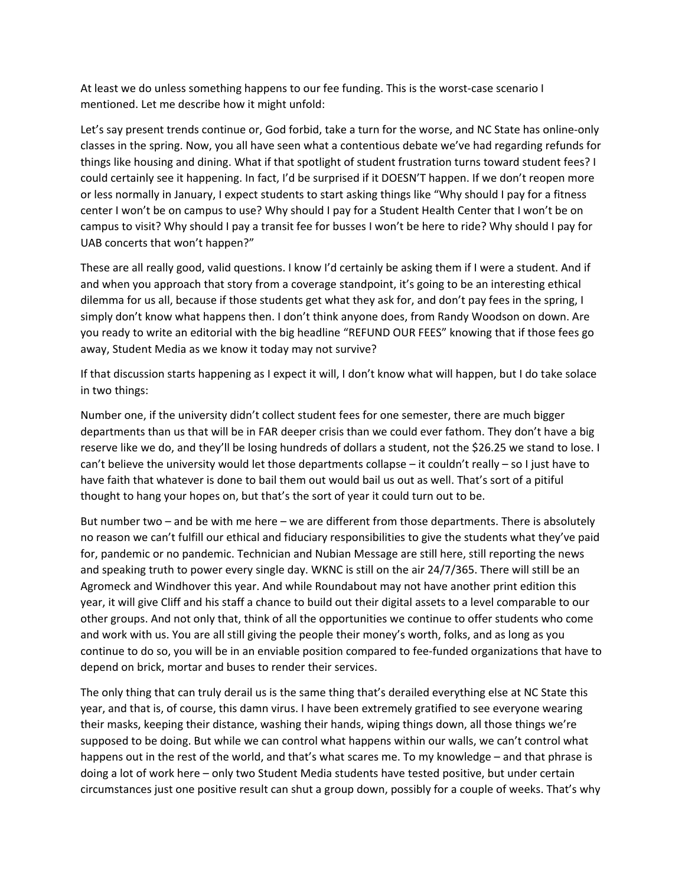At least we do unless something happens to our fee funding. This is the worst-case scenario I mentioned. Let me describe how it might unfold:

 Let's say present trends continue or, God forbid, take a turn for the worse, and NC State has online-only classes in the spring. Now, you all have seen what a contentious debate we've had regarding refunds for things like housing and dining. What if that spotlight of student frustration turns toward student fees? I could certainly see it happening. In fact, I'd be surprised if it DOESN'T happen. If we don't reopen more or less normally in January, I expect students to start asking things like "Why should I pay for a fitness center I won't be on campus to use? Why should I pay for a Student Health Center that I won't be on campus to visit? Why should I pay a transit fee for busses I won't be here to ride? Why should I pay for UAB concerts that won't happen?"

 you ready to write an editorial with the big headline "REFUND OUR FEES" knowing that if those fees go away, Student Media as we know it today may not survive? These are all really good, valid questions. I know I'd certainly be asking them if I were a student. And if and when you approach that story from a coverage standpoint, it's going to be an interesting ethical dilemma for us all, because if those students get what they ask for, and don't pay fees in the spring, I simply don't know what happens then. I don't think anyone does, from Randy Woodson on down. Are

 If that discussion starts happening as I expect it will, I don't know what will happen, but I do take solace in two things:

 departments than us that will be in FAR deeper crisis than we could ever fathom. They don't have a big reserve like we do, and they'll be losing hundreds of dollars a student, not the \$26.25 we stand to lose. I can't believe the university would let those departments collapse – it couldn't really – so I just have to thought to hang your hopes on, but that's the sort of year it could turn out to be. Number one, if the university didn't collect student fees for one semester, there are much bigger have faith that whatever is done to bail them out would bail us out as well. That's sort of a pitiful

 for, pandemic or no pandemic. Technician and Nubian Message are still here, still reporting the news and speaking truth to power every single day. WKNC is still on the air 24/7/365. There will still be an Agromeck and Windhover this year. And while Roundabout may not have another print edition this year, it will give Cliff and his staff a chance to build out their digital assets to a level comparable to our other groups. And not only that, think of all the opportunities we continue to offer students who come and work with us. You are all still giving the people their money's worth, folks, and as long as you continue to do so, you will be in an enviable position compared to fee-funded organizations that have to But number two – and be with me here – we are different from those departments. There is absolutely no reason we can't fulfill our ethical and fiduciary responsibilities to give the students what they've paid depend on brick, mortar and buses to render their services.

 The only thing that can truly derail us is the same thing that's derailed everything else at NC State this year, and that is, of course, this damn virus. I have been extremely gratified to see everyone wearing their masks, keeping their distance, washing their hands, wiping things down, all those things we're happens out in the rest of the world, and that's what scares me. To my knowledge – and that phrase is doing a lot of work here – only two Student Media students have tested positive, but under certain supposed to be doing. But while we can control what happens within our walls, we can't control what circumstances just one positive result can shut a group down, possibly for a couple of weeks. That's why